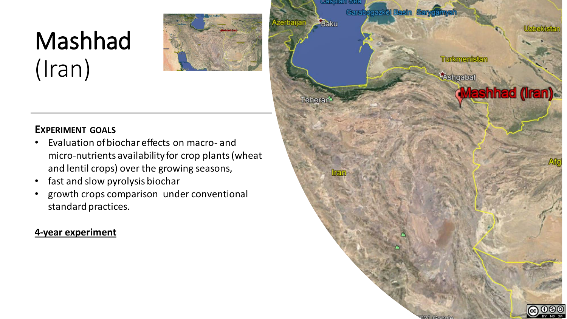# Mashhad (Iran)



# **EXPERIMENT GOALS**

- Evaluation of biochar effects on macro- and micro-nutrients availability for crop plants (wheat and lentil crops) over the growing seasons,
- fast and slow pyrolysis biochar
- growth crops comparison under conventional standard practices.

# **4-year experiment**

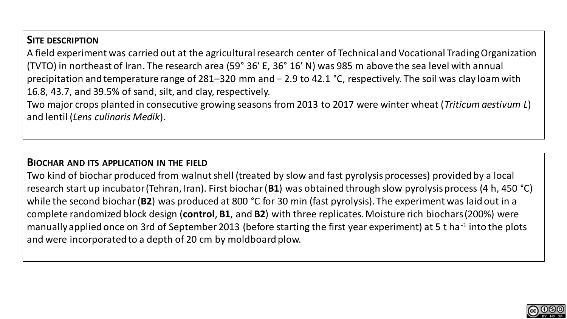# **SITE DESCRIPTION**

A field experiment was carried out at the agricultural research center of Technical and Vocational Trading Organization (TVTO) in northeast of Iran. The research area (59° 36′ E, 36° 16′ N) was 985 m above the sea level with annual precipitation and temperature range of 281–320 mm and − 2.9 to 42.1 °C, respectively. The soil was clay loam with 16.8, 43.7, and 39.5% of sand, silt, and clay, respectively.

Two major crops planted in consecutive growing seasons from 2013 to 2017 were winter wheat (*Triticum aestivum L*) and lentil (*Lens culinaris Medik*).

#### **BIOCHAR AND ITS APPLICATION IN THE FIELD**

Two kind of biochar produced from walnut shell (treated by slow and fast pyrolysis processes) provided by a local research start up incubator (Tehran, Iran). First biochar (**B1**) was obtained through slow pyrolysis process (4 h, 450 °C) while the second biochar (**B2**) was produced at 800 °C for 30 min (fast pyrolysis). The experiment was laid out in a complete randomized block design (**control**, **B1**, and **B2**) with three replicates. Moisture rich biochars (200%) were manually applied once on 3rd of September 2013 (before starting the first year experiment) at 5 t ha<sup>-1</sup> into the plots and were incorporated to a depth of 20 cm by moldboard plow.

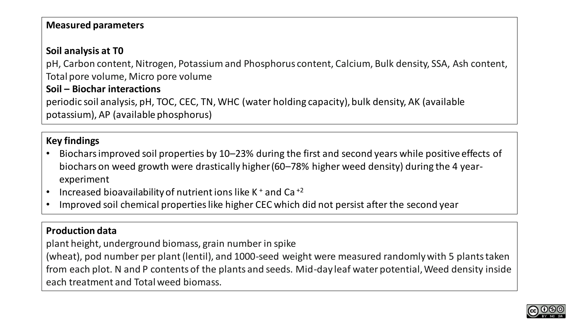# **Measured parameters**

# **Soil analysis at T0**

pH, Carbon content, Nitrogen, Potassium and Phosphorus content, Calcium, Bulk density, SSA, Ash content, Total pore volume, Micro pore volume

## **Soil – Biochar interactions**

periodic soil analysis, pH, TOC, CEC, TN, WHC (water holding capacity), bulk density, AK (available potassium), AP (available phosphorus)

# **Key findings**

- Biochars improved soil properties by 10–23% during the first and second years while positive effects of biochars on weed growth were drastically higher (60–78% higher weed density) during the 4 yearexperiment
- Increased bioavailability of nutrient ions like K  $^+$  and Ca $^{+2}$
- Improved soil chemical properties like higher CEC which did not persist after the second year

#### **Production data**

plant height, underground biomass, grain number in spike

(wheat), pod number per plant (lentil), and 1000-seed weight were measured randomly with 5 plants taken from each plot. N and P contents of the plants and seeds. Mid-day leaf water potential, Weed density inside each treatment and Total weed biomass.